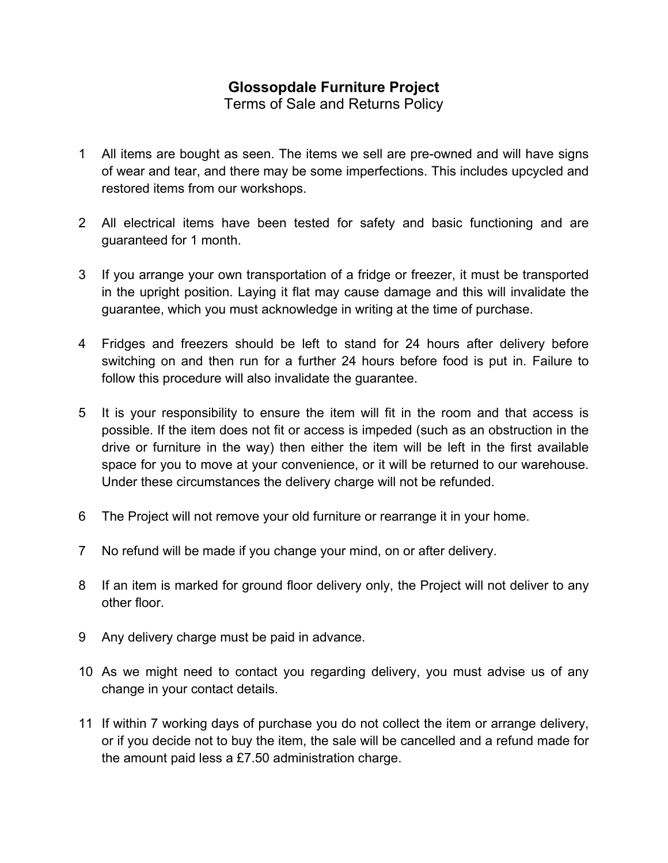## **Glossopdale Furniture Project**

Terms of Sale and Returns Policy

- 1 All items are bought as seen. The items we sell are pre-owned and will have signs of wear and tear, and there may be some imperfections. This includes upcycled and restored items from our workshops.
- 2 All electrical items have been tested for safety and basic functioning and are guaranteed for 1 month.
- 3 If you arrange your own transportation of a fridge or freezer, it must be transported in the upright position. Laying it flat may cause damage and this will invalidate the guarantee, which you must acknowledge in writing at the time of purchase.
- 4 Fridges and freezers should be left to stand for 24 hours after delivery before switching on and then run for a further 24 hours before food is put in. Failure to follow this procedure will also invalidate the guarantee.
- 5 It is your responsibility to ensure the item will fit in the room and that access is possible. If the item does not fit or access is impeded (such as an obstruction in the drive or furniture in the way) then either the item will be left in the first available space for you to move at your convenience, or it will be returned to our warehouse. Under these circumstances the delivery charge will not be refunded.
- 6 The Project will not remove your old furniture or rearrange it in your home.
- 7 No refund will be made if you change your mind, on or after delivery.
- 8 If an item is marked for ground floor delivery only, the Project will not deliver to any other floor.
- 9 Any delivery charge must be paid in advance.
- 10 As we might need to contact you regarding delivery, you must advise us of any change in your contact details.
- 11 If within 7 working days of purchase you do not collect the item or arrange delivery, or if you decide not to buy the item, the sale will be cancelled and a refund made for the amount paid less a £7.50 administration charge.